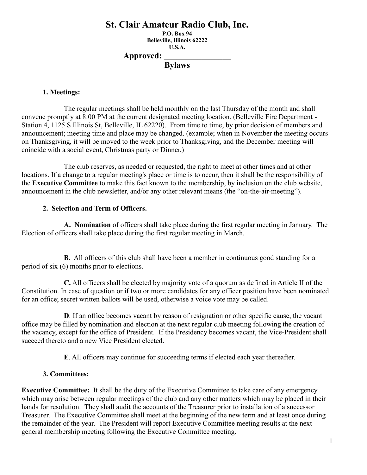# **St. Clair Amateur Radio Club, Inc.**

**P.O. Box 94 Belleville, Illinois 62222 U.S.A. Approved: \_\_\_\_\_\_\_\_\_\_\_\_\_\_\_\_**

**Bylaws**

### **1. Meetings:**

The regular meetings shall be held monthly on the last Thursday of the month and shall convene promptly at 8:00 PM at the current designated meeting location. (Belleville Fire Department - Station 4, 1125 S Illinois St, Belleville, IL 62220). From time to time, by prior decision of members and announcement; meeting time and place may be changed. (example; when in November the meeting occurs on Thanksgiving, it will be moved to the week prior to Thanksgiving, and the December meeting will coincide with a social event, Christmas party or Dinner.)

The club reserves, as needed or requested, the right to meet at other times and at other locations. If a change to a regular meeting's place or time is to occur, then it shall be the responsibility of the **Executive Committee** to make this fact known to the membership, by inclusion on the club website, announcement in the club newsletter, and/or any other relevant means (the "on-the-air-meeting").

### **2. Selection and Term of Officers.**

**A. Nomination** of officers shall take place during the first regular meeting in January. The Election of officers shall take place during the first regular meeting in March.

**B.** All officers of this club shall have been a member in continuous good standing for a period of six (6) months prior to elections.

**C.** All officers shall be elected by majority vote of a quorum as defined in Article II of the Constitution. In case of question or if two or more candidates for any officer position have been nominated for an office; secret written ballots will be used, otherwise a voice vote may be called.

**D**. If an office becomes vacant by reason of resignation or other specific cause, the vacant office may be filled by nomination and election at the next regular club meeting following the creation of the vacancy, except for the office of President. If the Presidency becomes vacant, the Vice-President shall succeed thereto and a new Vice President elected.

**E**. All officers may continue for succeeding terms if elected each year thereafter.

## **3. Committees:**

**Executive Committee:** It shall be the duty of the Executive Committee to take care of any emergency which may arise between regular meetings of the club and any other matters which may be placed in their hands for resolution. They shall audit the accounts of the Treasurer prior to installation of a successor Treasurer. The Executive Committee shall meet at the beginning of the new term and at least once during the remainder of the year. The President will report Executive Committee meeting results at the next general membership meeting following the Executive Committee meeting.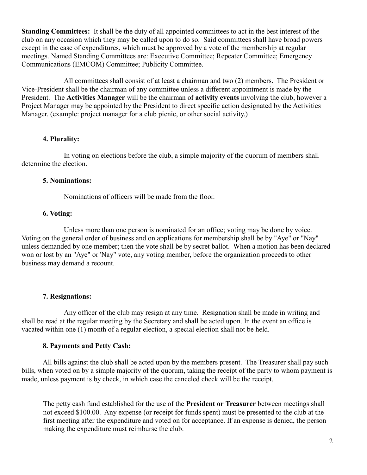**Standing Committees:** It shall be the duty of all appointed committees to act in the best interest of the club on any occasion which they may be called upon to do so. Said committees shall have broad powers except in the case of expenditures, which must be approved by a vote of the membership at regular meetings. Named Standing Committees are: Executive Committee; Repeater Committee; Emergency Communications (EMCOM) Committee; Publicity Committee.

All committees shall consist of at least a chairman and two (2) members. The President or Vice-President shall be the chairman of any committee unless a different appointment is made by the President. The **Activities Manager** will be the chairman of **activity events** involving the club, however a Project Manager may be appointed by the President to direct specific action designated by the Activities Manager. (example: project manager for a club picnic, or other social activity.)

#### **4. Plurality:**

In voting on elections before the club, a simple majority of the quorum of members shall determine the election.

#### **5. Nominations:**

Nominations of officers will be made from the floor.

### **6. Voting:**

Unless more than one person is nominated for an office; voting may be done by voice. Voting on the general order of business and on applications for membership shall be by "Aye" or "Nay" unless demanded by one member; then the vote shall be by secret ballot. When a motion has been declared won or lost by an "Aye" or 'Nay" vote, any voting member, before the organization proceeds to other business may demand a recount.

### **7. Resignations:**

Any officer of the club may resign at any time. Resignation shall be made in writing and shall be read at the regular meeting by the Secretary and shall be acted upon. In the event an office is vacated within one (1) month of a regular election, a special election shall not be held.

#### **8. Payments and Petty Cash:**

All bills against the club shall be acted upon by the members present. The Treasurer shall pay such bills, when voted on by a simple majority of the quorum, taking the receipt of the party to whom payment is made, unless payment is by check, in which case the canceled check will be the receipt.

The petty cash fund established for the use of the **President or Treasurer** between meetings shall not exceed \$100.00. Any expense (or receipt for funds spent) must be presented to the club at the first meeting after the expenditure and voted on for acceptance. If an expense is denied, the person making the expenditure must reimburse the club.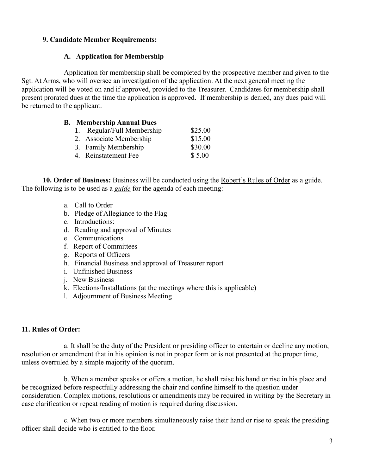# **9. Candidate Member Requirements:**

# **A. Application for Membership**

Application for membership shall be completed by the prospective member and given to the Sgt. At Arms, who will oversee an investigation of the application. At the next general meeting the application will be voted on and if approved, provided to the Treasurer. Candidates for membership shall present prorated dues at the time the application is approved. If membership is denied, any dues paid will be returned to the applicant.

## **B. Membership Annual Dues**

| 1. Regular/Full Membership | \$25.00 |
|----------------------------|---------|
| 2. Associate Membership    | \$15.00 |
| 3. Family Membership       | \$30.00 |
| 4. Reinstatement Fee       | \$5.00  |

**10. Order of Business:** Business will be conducted using the Robert's Rules of Order as a guide. The following is to be used as a *guide* for the agenda of each meeting:

- a. Call to Order
- b. Pledge of Allegiance to the Flag
- c. Introductions:
- d. Reading and approval of Minutes
- e Communications
- f. Report of Committees
- g. Reports of Officers
- h. Financial Business and approval of Treasurer report
- i. Unfinished Business
- j. New Business
- k. Elections/Installations (at the meetings where this is applicable)
- l. Adjournment of Business Meeting

## **11. Rules of Order:**

a. It shall be the duty of the President or presiding officer to entertain or decline any motion, resolution or amendment that in his opinion is not in proper form or is not presented at the proper time, unless overruled by a simple majority of the quorum.

b. When a member speaks or offers a motion, he shall raise his hand or rise in his place and be recognized before respectfully addressing the chair and confine himself to the question under consideration. Complex motions, resolutions or amendments may be required in writing by the Secretary in case clarification or repeat reading of motion is required during discussion.

c. When two or more members simultaneously raise their hand or rise to speak the presiding officer shall decide who is entitled to the floor.